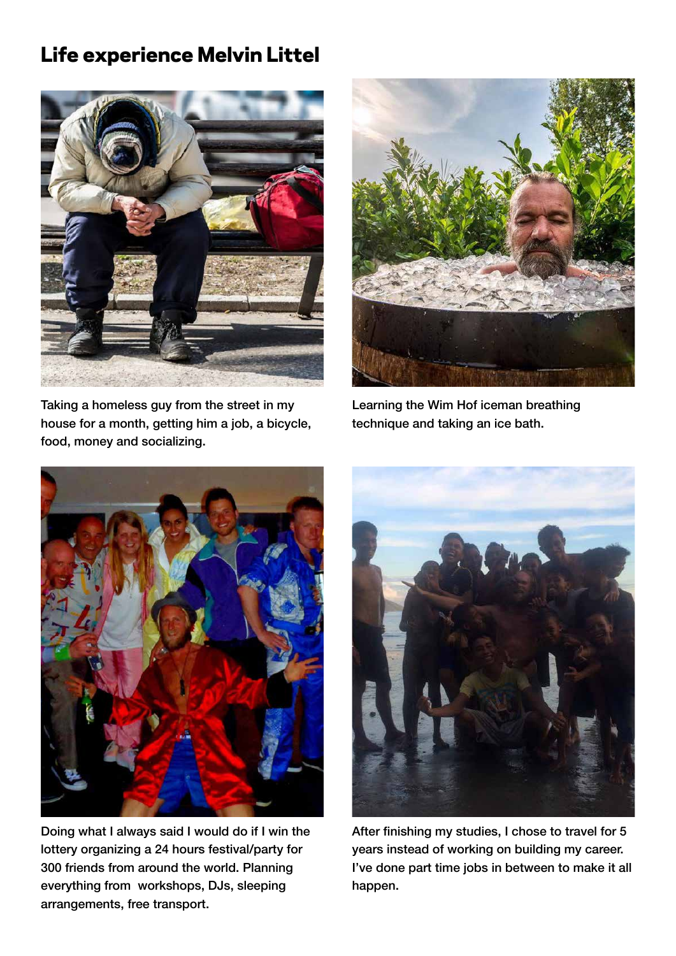## Life experience Melvin Littel



Taking a homeless guy from the street in my house for a month, getting him a job, a bicycle, food, money and socializing.



Learning the Wim Hof iceman breathing technique and taking an ice bath.



Doing what I always said I would do if I win the lottery organizing a 24 hours festival/party for 300 friends from around the world. Planning everything from workshops, DJs, sleeping arrangements, free transport.



After finishing my studies, I chose to travel for 5 years instead of working on building my career. I've done part time jobs in between to make it all happen.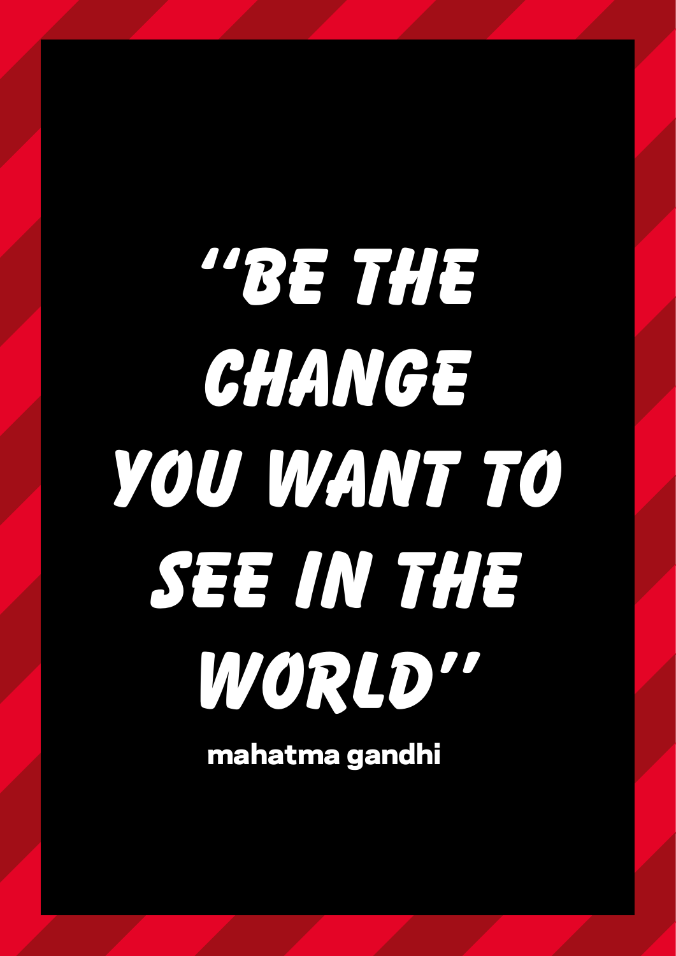## **''Be the change you want to see in the world''**

mahatma gandhi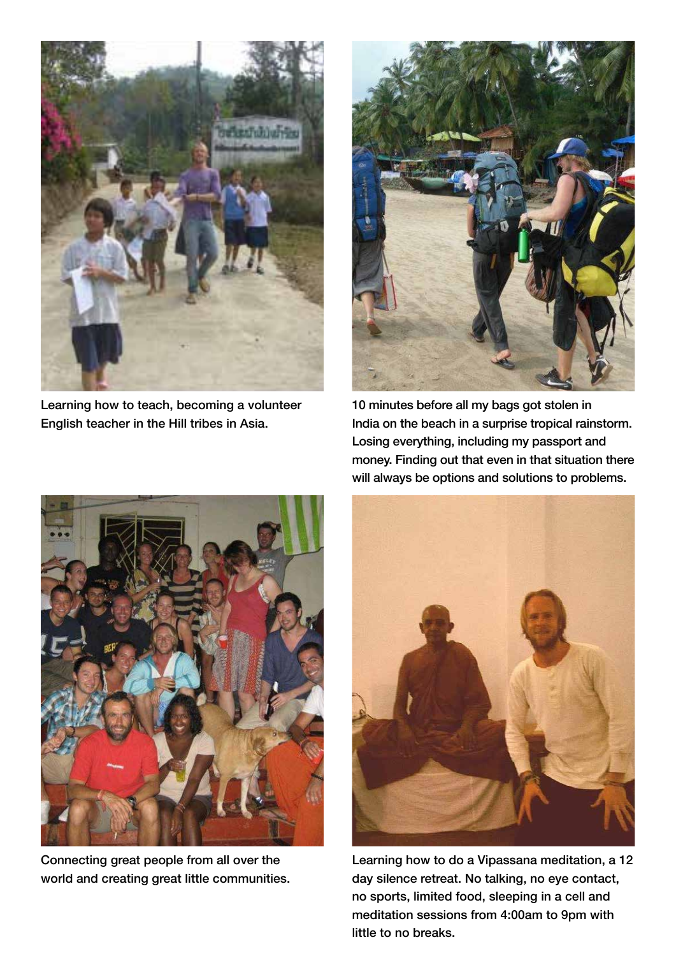

Learning how to teach, becoming a volunteer English teacher in the Hill tribes in Asia.



10 minutes before all my bags got stolen in India on the beach in a surprise tropical rainstorm. Losing everything, including my passport and money. Finding out that even in that situation there will always be options and solutions to problems.



Connecting great people from all over the world and creating great little communities.



Learning how to do a Vipassana meditation, a 12 day silence retreat. No talking, no eye contact, no sports, limited food, sleeping in a cell and meditation sessions from 4:00am to 9pm with little to no breaks.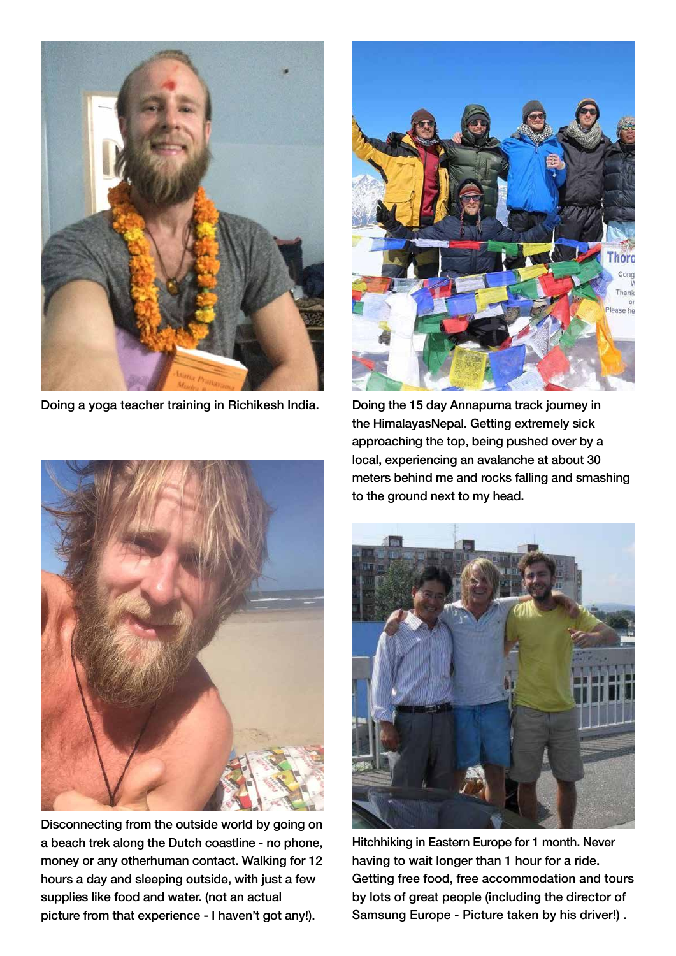

Doing a yoga teacher training in Richikesh India.



Disconnecting from the outside world by going on a beach trek along the Dutch coastline - no phone, money or any otherhuman contact. Walking for 12 hours a day and sleeping outside, with just a few supplies like food and water. (not an actual picture from that experience - I haven't got any!).



Doing the 15 day Annapurna track journey in the HimalayasNepal. Getting extremely sick approaching the top, being pushed over by a local, experiencing an avalanche at about 30 meters behind me and rocks falling and smashing to the ground next to my head.



Hitchhiking in Eastern Europe for 1 month. Never having to wait longer than 1 hour for a ride. Getting free food, free accommodation and tours by lots of great people (including the director of Samsung Europe - Picture taken by his driver!) .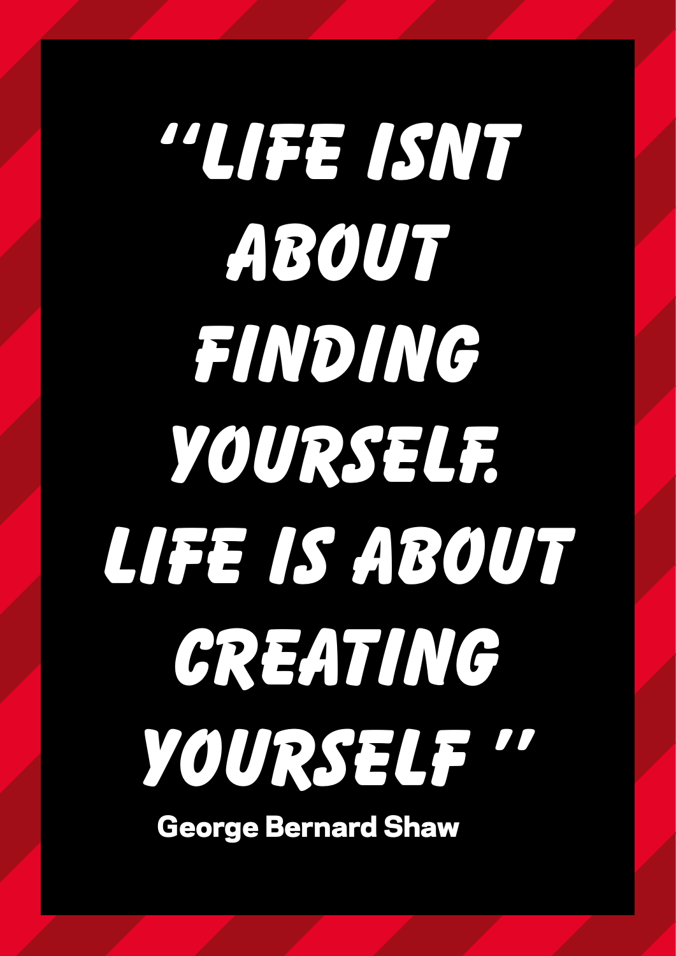**''Life isnt about finding yourself. Life is about CREATING yourself ''**

George Bernard Shaw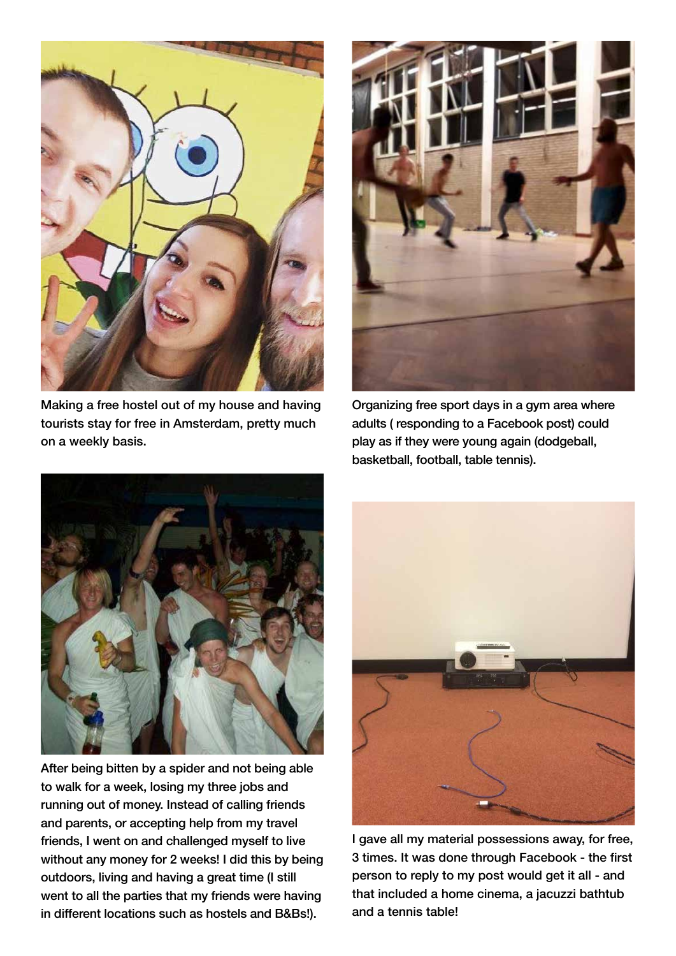

Making a free hostel out of my house and having tourists stay for free in Amsterdam, pretty much on a weekly basis.



Organizing free sport days in a gym area where adults ( responding to a Facebook post) could play as if they were young again (dodgeball, basketball, football, table tennis).



After being bitten by a spider and not being able to walk for a week, losing my three jobs and running out of money. Instead of calling friends and parents, or accepting help from my travel friends, I went on and challenged myself to live without any money for 2 weeks! I did this by being outdoors, living and having a great time (I still went to all the parties that my friends were having in different locations such as hostels and B&Bs!).



I gave all my material possessions away, for free, 3 times. It was done through Facebook - the first person to reply to my post would get it all - and that included a home cinema, a jacuzzi bathtub and a tennis table!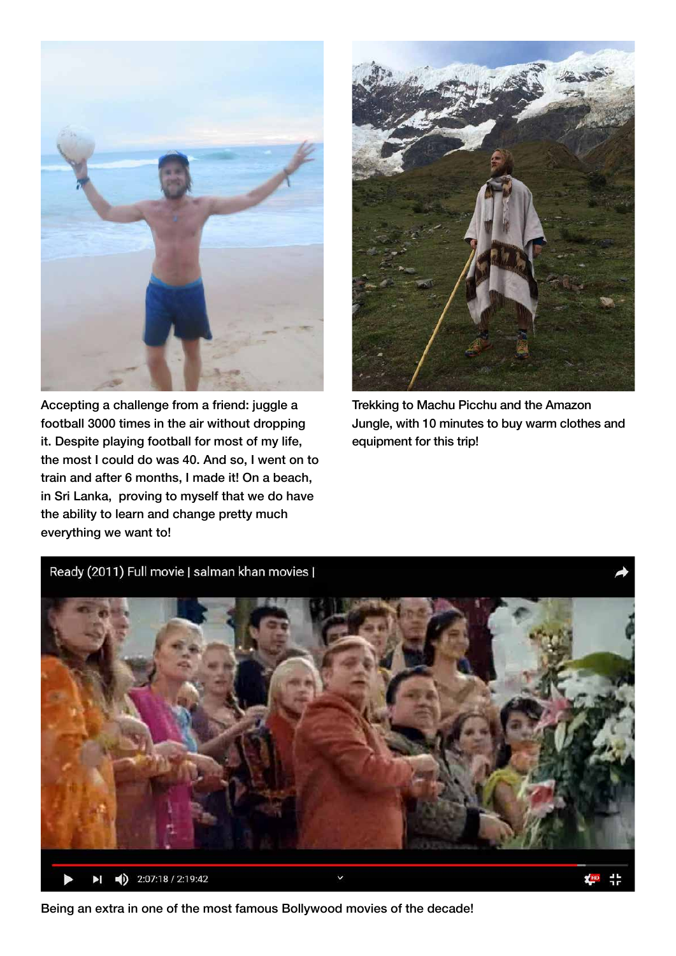

Accepting a challenge from a friend: juggle a football 3000 times in the air without dropping it. Despite playing football for most of my life, the most I could do was 40. And so, I went on to train and after 6 months, I made it! On a beach, in Sri Lanka, proving to myself that we do have the ability to learn and change pretty much everything we want to!



Trekking to Machu Picchu and the Amazon Jungle, with 10 minutes to buy warm clothes and equipment for this trip!



Being an extra in one of the most famous Bollywood movies of the decade!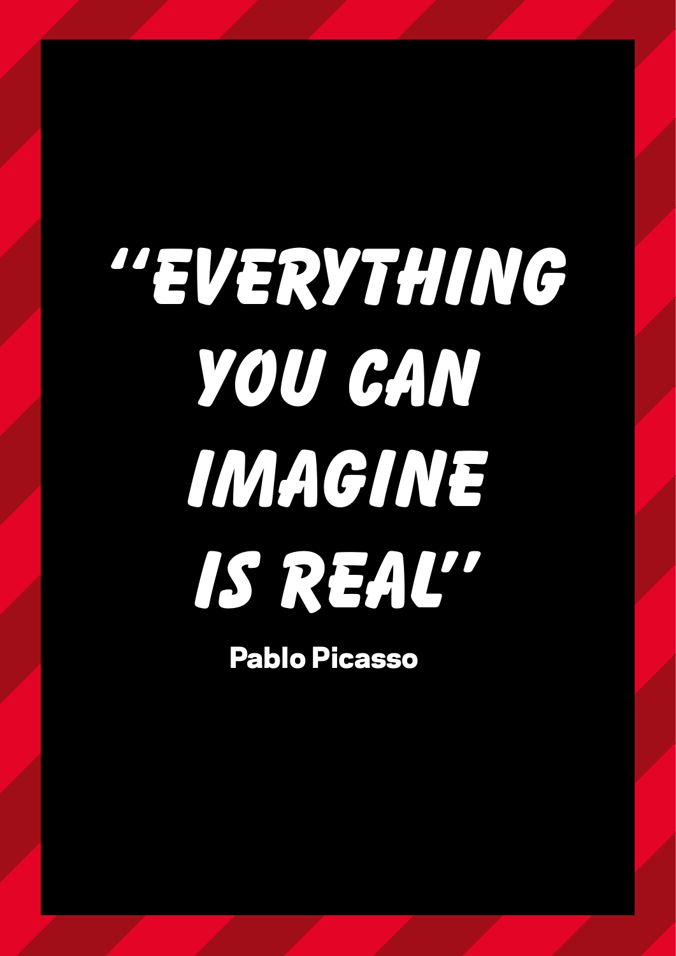## **''Everything you can imagine is real''**

Pablo Picasso